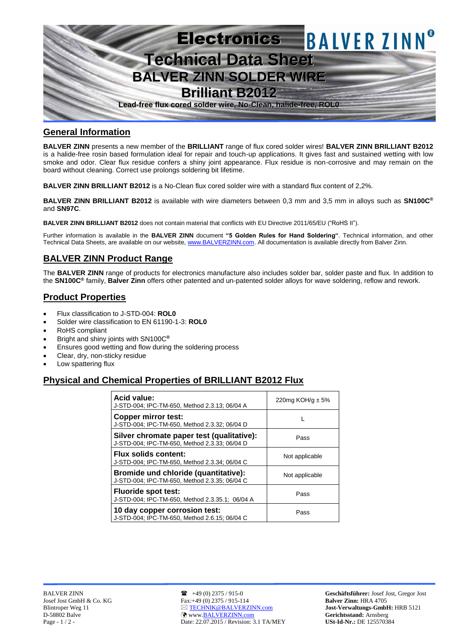

## **General Information**

**BALVER ZINN** presents a new member of the **BRILLIANT** range of flux cored solder wires! **BALVER ZINN BRILLIANT B2012**  is a halide-free rosin based formulation ideal for repair and touch-up applications. It gives fast and sustained wetting with low smoke and odor. Clear flux residue confers a shiny joint appearance. Flux residue is non-corrosive and may remain on the board without cleaning. Correct use prolongs soldering bit lifetime.

**BALVER ZINN BRILLIANT B2012** is a No-Clean flux cored solder wire with a standard flux content of 2,2%.

**BALVER ZINN BRILLIANT B2012** is available with wire diameters between 0,3 mm and 3,5 mm in alloys such as **SN100C®** and **SN97C**.

**BALVER ZINN BRILLIANT B2012** does not contain material that conflicts with EU Directive 2011/65/EU ("RoHS II").

Further information is available in the **BALVER ZINN** document **"5 Golden Rules for Hand Soldering"**. Technical information, and other Technical Data Sheets, are available on our website[, www.BALVERZINN.com.](http://www.balverzinn.com/) All documentation is available directly from Balver Zinn.

# **BALVER ZINN Product Range**

The **BALVER ZINN** range of products for electronics manufacture also includes solder bar, solder paste and flux. In addition to the **SN100C®** family, **Balver Zinn** offers other patented and un-patented solder alloys for wave soldering, reflow and rework.

# **Product Properties**

- Flux classification to J-STD-004: **ROL0**
- Solder wire classification to EN 61190-1-3: **ROL0**
- RoHS compliant
- Bright and shiny joints with SN100C**®**
- Ensures good wetting and flow during the soldering process
- Clear, dry, non-sticky residue
- Low spattering flux

# **Physical and Chemical Properties of BRILLIANT B2012 Flux**

| <b>Acid value:</b><br>J-STD-004; IPC-TM-650, Method 2.3.13; 06/04 A                        | 220mg KOH/g $\pm$ 5% |
|--------------------------------------------------------------------------------------------|----------------------|
| <b>Copper mirror test:</b><br>J-STD-004; IPC-TM-650, Method 2.3.32; 06/04 D                |                      |
| Silver chromate paper test (qualitative):<br>J-STD-004; IPC-TM-650, Method 2.3.33; 06/04 D | Pass                 |
| <b>Flux solids content:</b><br>J-STD-004; IPC-TM-650, Method 2.3.34; 06/04 C               | Not applicable       |
| Bromide und chloride (quantitative):<br>J-STD-004; IPC-TM-650, Method 2.3.35; 06/04 C      | Not applicable       |
| <b>Fluoride spot test:</b><br>J-STD-004; IPC-TM-650, Method 2.3.35.1; 06/04 A              | Pass                 |
| 10 day copper corrosion test:<br>J-STD-004; IPC-TM-650, Method 2.6.15; 06/04 C             | Pass                 |